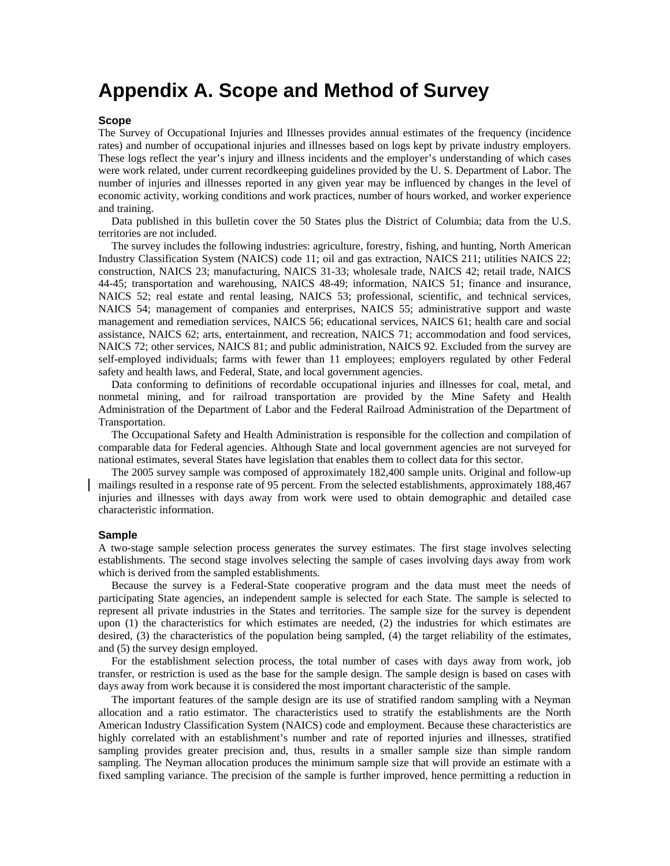# **Appendix A. Scope and Method of Survey**

#### **Scope**

The Survey of Occupational Injuries and Illnesses provides annual estimates of the frequency (incidence rates) and number of occupational injuries and illnesses based on logs kept by private industry employers. These logs reflect the year's injury and illness incidents and the employer's understanding of which cases were work related, under current recordkeeping guidelines provided by the U. S. Department of Labor. The number of injuries and illnesses reported in any given year may be influenced by changes in the level of economic activity, working conditions and work practices, number of hours worked, and worker experience and training.

Data published in this bulletin cover the 50 States plus the District of Columbia; data from the U.S. territories are not included.

The survey includes the following industries: agriculture, forestry, fishing, and hunting, North American Industry Classification System (NAICS) code 11; oil and gas extraction, NAICS 211; utilities NAICS 22; construction, NAICS 23; manufacturing, NAICS 31-33; wholesale trade, NAICS 42; retail trade, NAICS 44-45; transportation and warehousing, NAICS 48-49; information, NAICS 51; finance and insurance, NAICS 52; real estate and rental leasing, NAICS 53; professional, scientific, and technical services, NAICS 54; management of companies and enterprises, NAICS 55; administrative support and waste management and remediation services, NAICS 56; educational services, NAICS 61; health care and social assistance, NAICS 62; arts, entertainment, and recreation, NAICS 71; accommodation and food services, NAICS 72; other services, NAICS 81; and public administration, NAICS 92. Excluded from the survey are self-employed individuals; farms with fewer than 11 employees; employers regulated by other Federal safety and health laws, and Federal, State, and local government agencies.

Data conforming to definitions of recordable occupational injuries and illnesses for coal, metal, and nonmetal mining, and for railroad transportation are provided by the Mine Safety and Health Administration of the Department of Labor and the Federal Railroad Administration of the Department of Transportation.

The Occupational Safety and Health Administration is responsible for the collection and compilation of comparable data for Federal agencies. Although State and local government agencies are not surveyed for national estimates, several States have legislation that enables them to collect data for this sector.

The 2005 survey sample was composed of approximately 182,400 sample units. Original and follow-up mailings resulted in a response rate of 95 percent. From the selected establishments, approximately 188,467 injuries and illnesses with days away from work were used to obtain demographic and detailed case characteristic information.

#### **Sample**

A two-stage sample selection process generates the survey estimates. The first stage involves selecting establishments. The second stage involves selecting the sample of cases involving days away from work which is derived from the sampled establishments.

Because the survey is a Federal-State cooperative program and the data must meet the needs of participating State agencies, an independent sample is selected for each State. The sample is selected to represent all private industries in the States and territories. The sample size for the survey is dependent upon (1) the characteristics for which estimates are needed, (2) the industries for which estimates are desired, (3) the characteristics of the population being sampled, (4) the target reliability of the estimates, and (5) the survey design employed.

For the establishment selection process, the total number of cases with days away from work, job transfer, or restriction is used as the base for the sample design. The sample design is based on cases with days away from work because it is considered the most important characteristic of the sample.

The important features of the sample design are its use of stratified random sampling with a Neyman allocation and a ratio estimator. The characteristics used to stratify the establishments are the North American Industry Classification System (NAICS) code and employment. Because these characteristics are highly correlated with an establishment's number and rate of reported injuries and illnesses, stratified sampling provides greater precision and, thus, results in a smaller sample size than simple random sampling. The Neyman allocation produces the minimum sample size that will provide an estimate with a fixed sampling variance. The precision of the sample is further improved, hence permitting a reduction in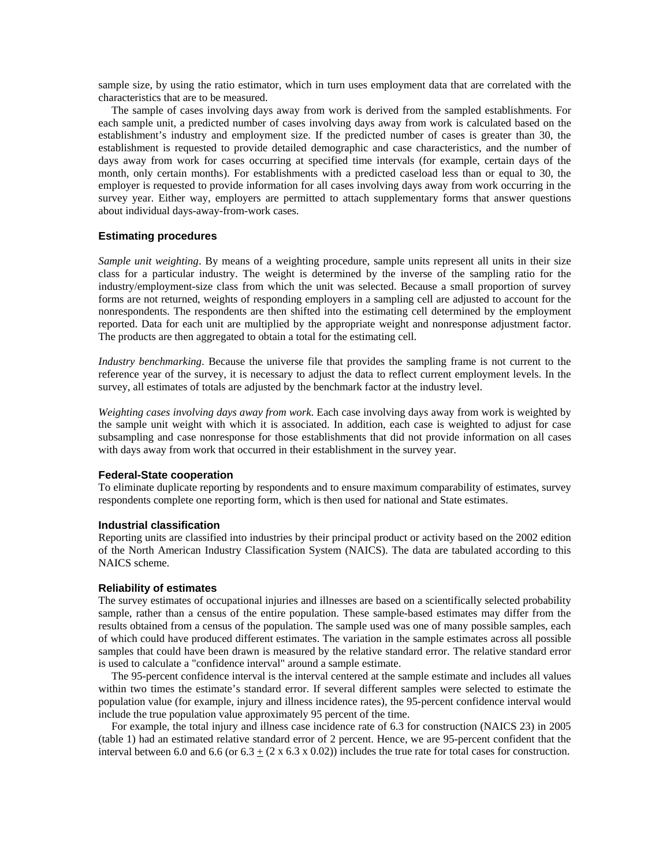sample size, by using the ratio estimator, which in turn uses employment data that are correlated with the characteristics that are to be measured.

The sample of cases involving days away from work is derived from the sampled establishments. For each sample unit, a predicted number of cases involving days away from work is calculated based on the establishment's industry and employment size. If the predicted number of cases is greater than 30, the establishment is requested to provide detailed demographic and case characteristics, and the number of days away from work for cases occurring at specified time intervals (for example, certain days of the month, only certain months). For establishments with a predicted caseload less than or equal to 30, the employer is requested to provide information for all cases involving days away from work occurring in the survey year. Either way, employers are permitted to attach supplementary forms that answer questions about individual days-away-from-work cases.

## **Estimating procedures**

*Sample unit weighting*. By means of a weighting procedure, sample units represent all units in their size class for a particular industry. The weight is determined by the inverse of the sampling ratio for the industry/employment-size class from which the unit was selected. Because a small proportion of survey forms are not returned, weights of responding employers in a sampling cell are adjusted to account for the nonrespondents. The respondents are then shifted into the estimating cell determined by the employment reported. Data for each unit are multiplied by the appropriate weight and nonresponse adjustment factor. The products are then aggregated to obtain a total for the estimating cell.

*Industry benchmarking*. Because the universe file that provides the sampling frame is not current to the reference year of the survey, it is necessary to adjust the data to reflect current employment levels. In the survey, all estimates of totals are adjusted by the benchmark factor at the industry level.

*Weighting cases involving days away from work*. Each case involving days away from work is weighted by the sample unit weight with which it is associated. In addition, each case is weighted to adjust for case subsampling and case nonresponse for those establishments that did not provide information on all cases with days away from work that occurred in their establishment in the survey year.

### **Federal-State cooperation**

To eliminate duplicate reporting by respondents and to ensure maximum comparability of estimates, survey respondents complete one reporting form, which is then used for national and State estimates.

#### **Industrial classification**

Reporting units are classified into industries by their principal product or activity based on the 2002 edition of the North American Industry Classification System (NAICS). The data are tabulated according to this NAICS scheme.

#### **Reliability of estimates**

The survey estimates of occupational injuries and illnesses are based on a scientifically selected probability sample, rather than a census of the entire population. These sample-based estimates may differ from the results obtained from a census of the population. The sample used was one of many possible samples, each of which could have produced different estimates. The variation in the sample estimates across all possible samples that could have been drawn is measured by the relative standard error. The relative standard error is used to calculate a "confidence interval" around a sample estimate.

The 95-percent confidence interval is the interval centered at the sample estimate and includes all values within two times the estimate's standard error. If several different samples were selected to estimate the population value (for example, injury and illness incidence rates), the 95-percent confidence interval would include the true population value approximately 95 percent of the time.

For example, the total injury and illness case incidence rate of 6.3 for construction (NAICS 23) in 2005 (table 1) had an estimated relative standard error of 2 percent. Hence, we are 95-percent confident that the interval between 6.0 and 6.6 (or  $6.3 \pm (2 \times 6.3 \times 0.02)$ ) includes the true rate for total cases for construction.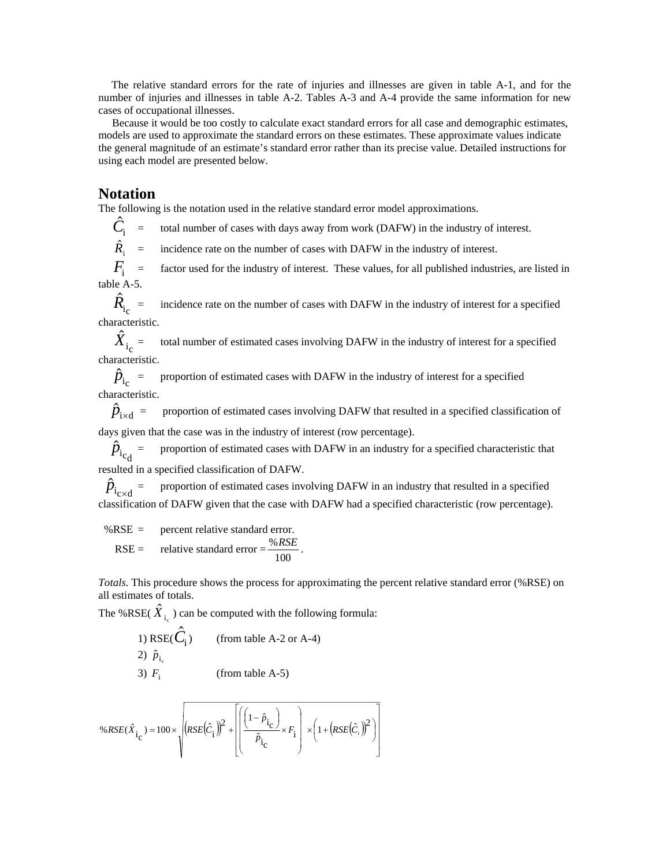The relative standard errors for the rate of injuries and illnesses are given in table A-1, and for the number of injuries and illnesses in table A-2. Tables A-3 and A-4 provide the same information for new cases of occupational illnesses.

 Because it would be too costly to calculate exact standard errors for all case and demographic estimates, models are used to approximate the standard errors on these estimates. These approximate values indicate the general magnitude of an estimate's standard error rather than its precise value. Detailed instructions for using each model are presented below.

# **Notation**

The following is the notation used in the relative standard error model approximations.

 $\ddot{C}_{\rm i}$ = total number of cases with days away from work (DAFW) in the industry of interest.

 $\hat{R}_{i}$  = incidence rate on the number of cases with DAFW in the industry of interest.

factor used for the industry of interest. These values, for all published industries, are listed in  $F_i$  = table A-5.

 $\hat{R}_{\rm i_{\rm c}}$ incidence rate on the number of cases with DAFW in the industry of interest for a specified characteristic.

 $\hat{X}^{}_{\mathrm{i_{c}}}$ total number of estimated cases involving DAFW in the industry of interest for a specified characteristic.

 $\hat{p}_{i_c}$  = proportion of estimated cases with DAFW in the industry of interest for a specified characteristic.

 $\hat{p}_{\text{ixd}}$  = proportion of estimated cases involving DAFW that resulted in a specified classification of days given that the case was in the industry of interest (row percentage).

 $\hat{p}_{i_{\rm cd}}$  = proportion of estimated cases with DAFW in an industry for a specified characteristic that resulted in a specified classification of DAFW.

 $\hat{p}_{i_{\text{cxd}}}$  = proportion of estimated cases involving DAFW in an industry that resulted in a specified classification of DAFW given that the case with DAFW had a specified characteristic (row percentage).

 %RSE = percent relative standard error. RSE = relative standard error =  $\frac{\%RSE}{100}$ .

*Totals*. This procedure shows the process for approximating the percent relative standard error (%RSE) on all estimates of totals.

The %RSE( $\hat{X}_{i_c}$ ) can be computed with the following formula:

1) RSE(
$$
\hat{C}_i
$$
) (from table A-2 or A-4)  
2)  $\hat{p}_{i_c}$  (from table A-5)

$$
3) Fi \t(from table A-5)
$$

$$
\%RSE(\hat{X}_{i_{\text{C}}}) = 100 \times \sqrt{\left(RSE(\hat{C}_{i})\right)^{2} + \left[\left(\frac{\left(1-\hat{p}_{i_{\text{C}}}\right)}{\hat{p}_{i_{\text{C}}}} \times F_{i}\right) \times \left(1+\left(RSE(\hat{C}_{i})\right)^{2}\right)\right]}
$$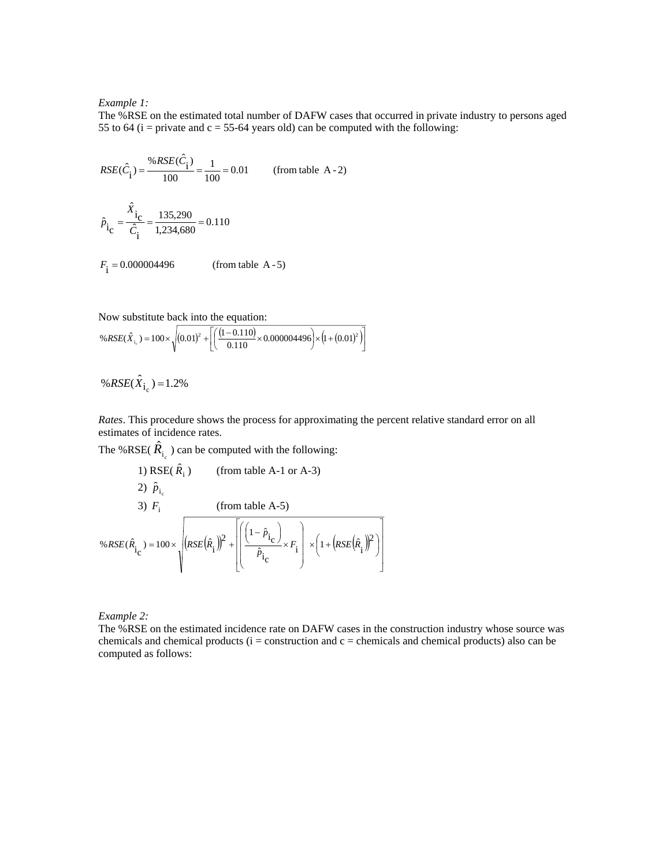### *Example 1:*

The %RSE on the estimated total number of DAFW cases that occurred in private industry to persons aged 55 to 64 ( $i =$  private and  $c = 55-64$  years old) can be computed with the following:

$$
RSE(\hat{C}_{\hat{i}}) = \frac{\%RSE(\hat{C}_{\hat{i}})}{100} = \frac{1}{100} = 0.01
$$
 (from table A - 2)  

$$
\hat{P}_{\hat{i}_C} = \frac{\hat{X}_{\hat{i}_C}}{\hat{C}_{\hat{i}}} = \frac{135,290}{1,234,680} = 0.110
$$

 $(from table A - 5)$  $F_{\rm i} =$ 

Now substitute back into the equation:

$$
\%RSE(\hat{X}_{i_c}) = 100 \times \sqrt{(0.01)^2 + \left[ \left( \frac{(1 - 0.110)}{0.110} \times 0.000004496 \right) \times \left( 1 + (0.01)^2 \right) \right]}
$$

$$
\%RSE(\hat{X}_{i_c}) = 1.2\%
$$

*Rates*. This procedure shows the process for approximating the percent relative standard error on all estimates of incidence rates.

The %RSE( $\hat{R}_{i_c}$ ) can be computed with the following:

1) RSE(
$$
\hat{R}_i
$$
) (from table A-1 or A-3)  
\n2)  $\hat{p}_{i_c}$   
\n3)  $F_i$  (from table A-5)  
\n% $RSE(\hat{R}_i) = 100 \times \sqrt{(RSE(\hat{R}_i))^2 + \left[\left(\frac{(1-\hat{p}_{i_C})}{\hat{p}_{i_C}} \times F_i\right) \times \left(1 + (RSE(\hat{R}_i))^2\right)\right]}$ 

*Example 2:*

The %RSE on the estimated incidence rate on DAFW cases in the construction industry whose source was chemicals and chemical products ( $i =$  construction and  $c =$  chemicals and chemical products) also can be computed as follows: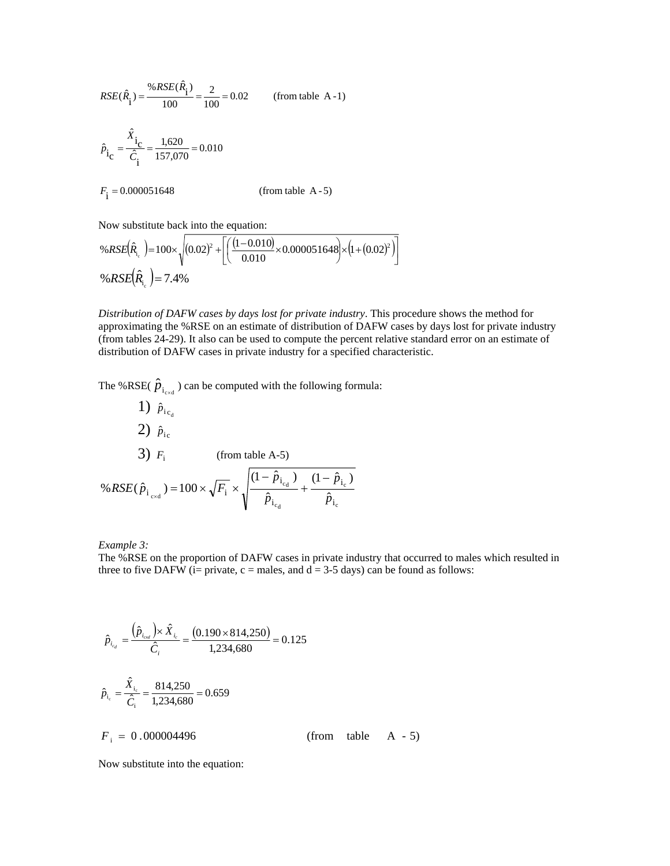$$
RSE(\hat{R}_{i}) = \frac{\%RSE(\hat{R}_{i})}{100} = \frac{2}{100} = 0.02
$$
 (from table A-1)  

$$
\hat{P}_{i_C} = \frac{\hat{X}_{i_C}}{\hat{C}_{i}} = \frac{1,620}{157,070} = 0.010
$$

$$
F_{i} = 0.000051648
$$
 (from table A-5)

Now substitute back into the equation:

$$
\%RSE(\hat{R}_{i_c}) = 100 \times \sqrt{(0.02)^2 + \left[ \left( \frac{(1 - 0.010)}{0.010} \times 0.000051648 \right) \times (1 + (0.02)^2) \right]}
$$
  
\n
$$
\%RSE(\hat{R}_{i_c}) = 7.4\%
$$

*Distribution of DAFW cases by days lost for private industry*. This procedure shows the method for approximating the %RSE on an estimate of distribution of DAFW cases by days lost for private industry (from tables 24-29). It also can be used to compute the percent relative standard error on an estimate of distribution of DAFW cases in private industry for a specified characteristic.

The %RSE( $\hat{p}_{i_{\text{exd}}}$ ) can be computed with the following formula:

1) 
$$
\hat{p}_{i_{c_d}}
$$
  
\n2)  $\hat{p}_{i_c}$   
\n3)  $F_i$  (from table A-5)  
\n% $RSE(\hat{p}_{i_{cxd}}) = 100 \times \sqrt{F_i} \times \sqrt{\frac{(1 - \hat{p}_{i_{c_d}})}{\hat{p}_{i_{c_d}}} + \frac{(1 - \hat{p}_{i_c})}{\hat{p}_{i_c}}}$ 

*Example 3:*

The %RSE on the proportion of DAFW cases in private industry that occurred to males which resulted in three to five DAFW (i= private,  $c$  = males, and  $d = 3-5$  days) can be found as follows:

$$
\hat{p}_{i_{eq}} = \frac{(\hat{p}_{i_{end}}) \times \hat{X}_{i_c}}{\hat{C}_i} = \frac{(0.190 \times 814,250)}{1,234,680} = 0.125
$$
\n
$$
\hat{p}_{i_c} = \frac{\hat{X}_{i_c}}{\hat{C}_i} = \frac{814,250}{1,234,680} = 0.659
$$
\n
$$
F_i = 0.000004496 \qquad \qquad \text{(from table A - 5)}
$$

Now substitute into the equation: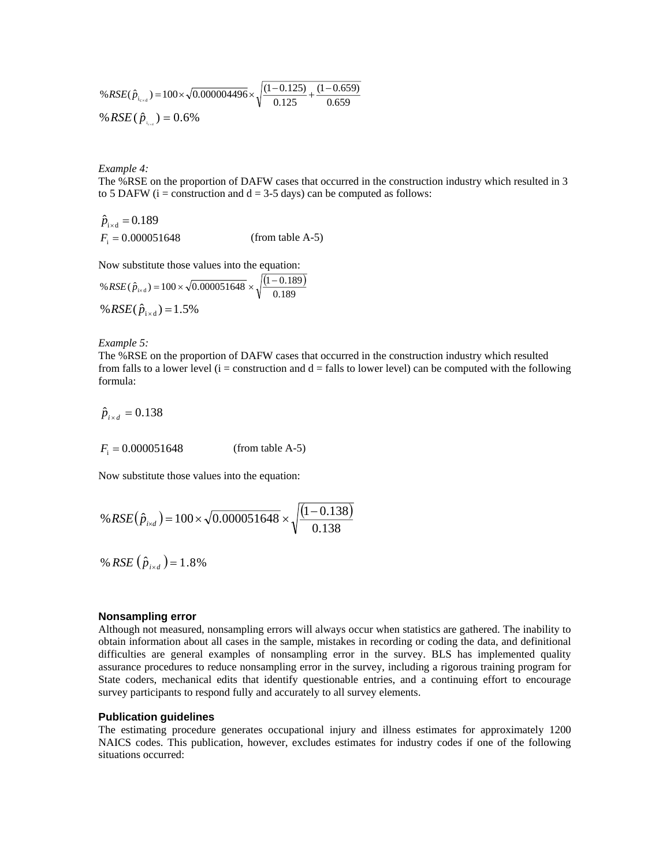%
$$
\%RSE(\hat{p}_{i_{\text{red}}}) = 100 \times \sqrt{0.000004496} \times \sqrt{\frac{(1 - 0.125)}{0.125} + \frac{(1 - 0.659)}{0.659}}
$$
  
\%
$$
\%RSE(\hat{p}_{i_{\text{red}}}) = 0.6\%
$$

*Example 4:*

The %RSE on the proportion of DAFW cases that occurred in the construction industry which resulted in 3 to 5 DAFW ( $i =$  construction and  $d = 3-5$  days) can be computed as follows:

$$
\hat{p}_{i \times d} = 0.189
$$
  
F<sub>i</sub> = 0.000051648 (from table A-5)

Now substitute those values into the equation:

%
$$
RSE(\hat{p}_{xd}) = 100 \times \sqrt{0.000051648} \times \sqrt{\frac{(1 - 0.189)}{0.189}}
$$
  
% $RSE(\hat{p}_{ixd}) = 1.5\%$ 

*Example 5:* 

The %RSE on the proportion of DAFW cases that occurred in the construction industry which resulted from falls to a lower level ( $i =$  construction and  $d =$  falls to lower level) can be computed with the following formula:

 $\hat{p}_{i \times d} = 0.138$ 

 $F_i = 0.000051648$  *(from table A-5)* 

Now substitute those values into the equation:

$$
\%RSE(\hat{p}_{i \times d}) = 100 \times \sqrt{0.000051648} \times \sqrt{\frac{(1 - 0.138)}{0.138}}
$$

% *RSE*  $(\hat{p}_{i \times d}) = 1.8\%$ 

#### **Nonsampling error**

Although not measured, nonsampling errors will always occur when statistics are gathered. The inability to obtain information about all cases in the sample, mistakes in recording or coding the data, and definitional difficulties are general examples of nonsampling error in the survey. BLS has implemented quality assurance procedures to reduce nonsampling error in the survey, including a rigorous training program for State coders, mechanical edits that identify questionable entries, and a continuing effort to encourage survey participants to respond fully and accurately to all survey elements.

### **Publication guidelines**

The estimating procedure generates occupational injury and illness estimates for approximately 1200 NAICS codes. This publication, however, excludes estimates for industry codes if one of the following situations occurred: